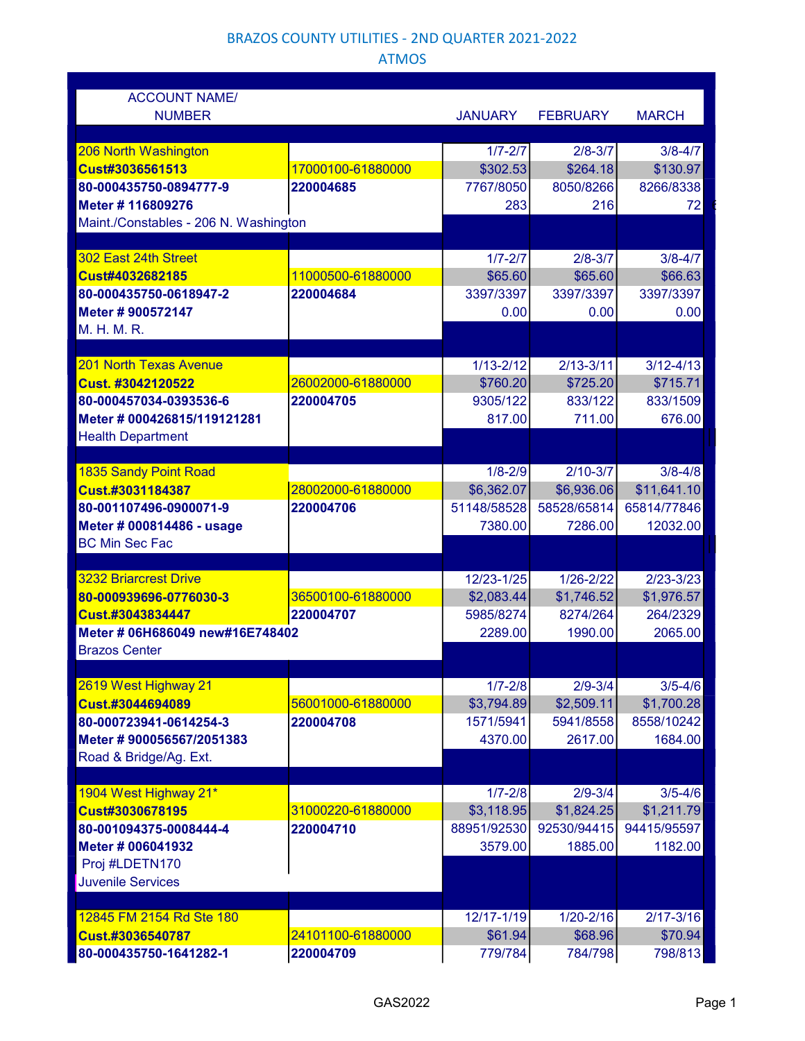# BRAZOS COUNTY UTILITIES - 2ND QUARTER 2021-2022

## ATMOS

| <b>ACCOUNT NAME/</b>                                |                   |                      |                     |                     |  |
|-----------------------------------------------------|-------------------|----------------------|---------------------|---------------------|--|
| <b>NUMBER</b>                                       |                   | <b>JANUARY</b>       | <b>FEBRUARY</b>     | <b>MARCH</b>        |  |
| 206 North Washington                                |                   | $1/7 - 2/7$          | $2/8 - 3/7$         | $3/8 - 4/7$         |  |
| Cust#3036561513                                     | 17000100-61880000 | \$302.53             | \$264.18            | \$130.97            |  |
| 80-000435750-0894777-9                              | 220004685         | 7767/8050            | 8050/8266           | 8266/8338           |  |
| Meter # 116809276                                   |                   | 283                  | 216                 | 72                  |  |
| Maint./Constables - 206 N. Washington               |                   |                      |                     |                     |  |
|                                                     |                   |                      |                     |                     |  |
| 302 East 24th Street                                |                   | $1/7 - 2/7$          | $2/8 - 3/7$         | $3/8 - 4/7$         |  |
| Cust#4032682185                                     | 11000500-61880000 | \$65.60              | \$65.60             | \$66.63             |  |
| 80-000435750-0618947-2                              | 220004684         | 3397/3397            | 3397/3397           | 3397/3397           |  |
| Meter #900572147                                    |                   | 0.00                 | 0.00                | 0.00                |  |
| M. H. M. R.                                         |                   |                      |                     |                     |  |
| <b>201 North Texas Avenue</b>                       |                   | $1/13 - 2/12$        | $2/13 - 3/11$       | $3/12 - 4/13$       |  |
| Cust. #3042120522                                   | 26002000-61880000 | \$760.20             | \$725.20            | \$715.71            |  |
| 80-000457034-0393536-6                              | 220004705         | 9305/122             | 833/122             | 833/1509            |  |
| Meter # 000426815/119121281                         |                   | 817.00               | 711.00              | 676.00              |  |
| <b>Health Department</b>                            |                   |                      |                     |                     |  |
|                                                     |                   |                      |                     |                     |  |
| <b>1835 Sandy Point Road</b>                        |                   | $1/8 - 2/9$          | $2/10 - 3/7$        | $3/8 - 4/8$         |  |
| Cust.#3031184387                                    | 28002000-61880000 | \$6,362.07           | \$6,936.06          | \$11,641.10         |  |
| 80-001107496-0900071-9                              | 220004706         | 51148/58528          | 58528/65814         | 65814/77846         |  |
| Meter # 000814486 - usage                           |                   | 7380.00              | 7286.00             | 12032.00            |  |
| <b>BC Min Sec Fac</b>                               |                   |                      |                     |                     |  |
|                                                     |                   |                      |                     |                     |  |
| <b>3232 Briarcrest Drive</b>                        | 36500100-61880000 | 12/23-1/25           | $1/26 - 2/22$       | $2/23 - 3/23$       |  |
| 80-000939696-0776030-3                              |                   | \$2,083.44           | \$1,746.52          | \$1,976.57          |  |
| Cust.#3043834447<br>Meter # 06H686049 new#16E748402 | 220004707         | 5985/8274<br>2289.00 | 8274/264<br>1990.00 | 264/2329<br>2065.00 |  |
| <b>Brazos Center</b>                                |                   |                      |                     |                     |  |
|                                                     |                   |                      |                     |                     |  |
| 2619 West Highway 21                                |                   | $1/7 - 2/8$          | $2/9 - 3/4$         | $3/5 - 4/6$         |  |
| Cust.#3044694089                                    | 56001000-61880000 | \$3,794.89           | \$2,509.11          | \$1,700.28          |  |
| 80-000723941-0614254-3                              | 220004708         | 1571/5941            | 5941/8558           | 8558/10242          |  |
| Meter #900056567/2051383                            |                   | 4370.00              | 2617.00             | 1684.00             |  |
| Road & Bridge/Ag. Ext.                              |                   |                      |                     |                     |  |
|                                                     |                   |                      |                     |                     |  |
| 1904 West Highway 21*                               |                   | $1/7 - 2/8$          | $2/9 - 3/4$         | $3/5 - 4/6$         |  |
| Cust#3030678195                                     | 31000220-61880000 | \$3,118.95           | \$1,824.25          | \$1,211.79          |  |
| 80-001094375-0008444-4                              | 220004710         | 88951/92530          | 92530/94415         | 94415/95597         |  |
| Meter # 006041932                                   |                   | 3579.00              | 1885.00             | 1182.00             |  |
| Proj #LDETN170                                      |                   |                      |                     |                     |  |
| <b>Juvenile Services</b>                            |                   |                      |                     |                     |  |
| 12845 FM 2154 Rd Ste 180                            |                   | 12/17-1/19           | $1/20 - 2/16$       | $2/17 - 3/16$       |  |
| Cust.#3036540787                                    | 24101100-61880000 | \$61.94              | \$68.96             | \$70.94             |  |
|                                                     |                   | 779/784              | 784/798             | 798/813             |  |
| 80-000435750-1641282-1                              | 220004709         |                      |                     |                     |  |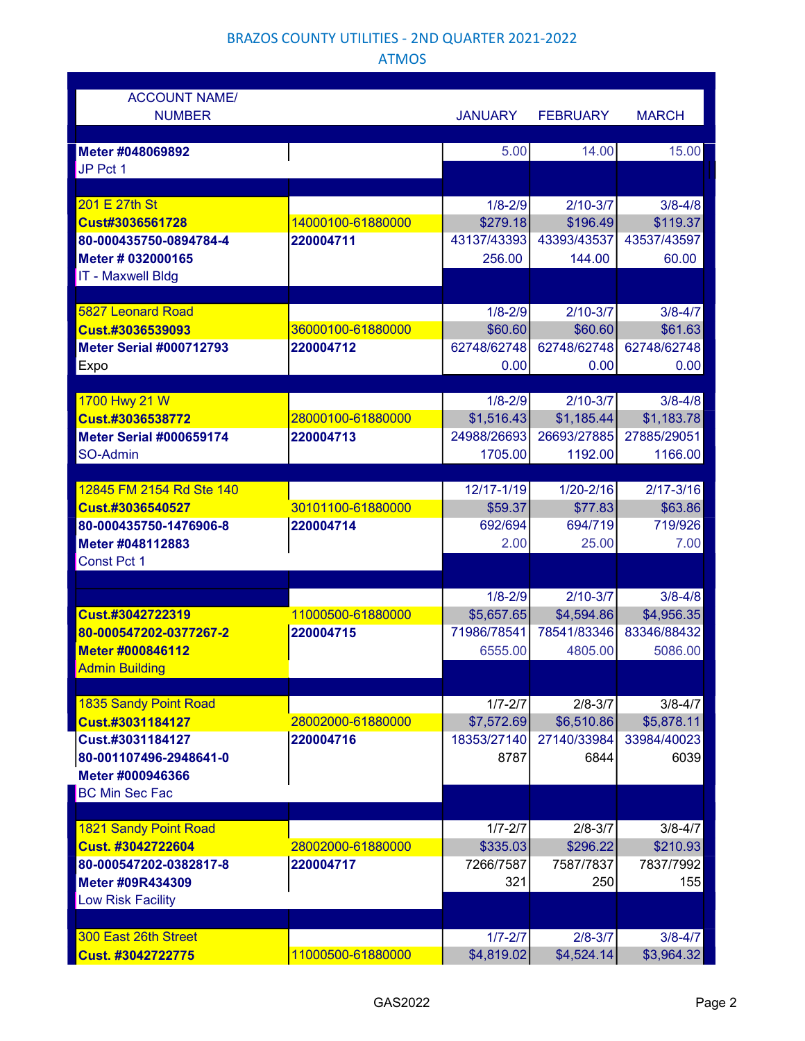#### BRAZOS COUNTY UTILITIES - 2ND QUARTER 2021-2022

## ATMOS

| <b>ACCOUNT NAME/</b><br><b>NUMBER</b> |                   | <b>JANUARY</b> | <b>FEBRUARY</b> | <b>MARCH</b>  |
|---------------------------------------|-------------------|----------------|-----------------|---------------|
|                                       |                   |                |                 |               |
| Meter #048069892                      |                   | 5.00           | 14.00           | 15.00         |
| JP Pct 1                              |                   |                |                 |               |
|                                       |                   |                |                 |               |
| 201 E 27th St                         |                   | $1/8 - 2/9$    | $2/10 - 3/7$    | $3/8 - 4/8$   |
| Cust#3036561728                       | 14000100-61880000 | \$279.18       | \$196.49        | \$119.37      |
| 80-000435750-0894784-4                | 220004711         | 43137/43393    | 43393/43537     | 43537/43597   |
| Meter # 032000165                     |                   | 256.00         | 144.00          | 60.00         |
| <b>IT - Maxwell Bldg</b>              |                   |                |                 |               |
|                                       |                   |                |                 |               |
| <b>5827 Leonard Road</b>              |                   | $1/8 - 2/9$    | $2/10 - 3/7$    | $3/8 - 4/7$   |
| Cust.#3036539093                      | 36000100-61880000 | \$60.60        | \$60.60         | \$61.63       |
| <b>Meter Serial #000712793</b>        | 220004712         | 62748/62748    | 62748/62748     | 62748/62748   |
| Expo                                  |                   | 0.00           | 0.00            | 0.00          |
|                                       |                   |                |                 |               |
| 1700 Hwy 21 W                         |                   | $1/8 - 2/9$    | $2/10 - 3/7$    | $3/8 - 4/8$   |
| Cust.#3036538772                      | 28000100-61880000 | \$1,516.43     | \$1,185.44      | \$1,183.78    |
| <b>Meter Serial #000659174</b>        | 220004713         | 24988/26693    | 26693/27885     | 27885/29051   |
| SO-Admin                              |                   | 1705.00        | 1192.00         | 1166.00       |
|                                       |                   |                |                 |               |
| 12845 FM 2154 Rd Ste 140              |                   | 12/17-1/19     | $1/20 - 2/16$   | $2/17 - 3/16$ |
| Cust.#3036540527                      | 30101100-61880000 | \$59.37        | \$77.83         | \$63.86       |
| 80-000435750-1476906-8                | 220004714         | 692/694        | 694/719         | 719/926       |
| Meter #048112883                      |                   | 2.00           | 25.00           | 7.00          |
| <b>Const Pct 1</b>                    |                   |                |                 |               |
|                                       |                   |                |                 |               |
|                                       |                   | $1/8 - 2/9$    | $2/10 - 3/7$    | $3/8 - 4/8$   |
| Cust.#3042722319                      | 11000500-61880000 | \$5,657.65     | \$4,594.86      | \$4,956.35    |
| 80-000547202-0377267-2                | 220004715         | 71986/78541    | 78541/83346     | 83346/88432   |
| Meter #000846112                      |                   | 6555.00        | 4805.00         | 5086.00       |
| <b>Admin Building</b>                 |                   |                |                 |               |
|                                       |                   |                |                 |               |
| <b>1835 Sandy Point Road</b>          |                   | $1/7 - 2/7$    | $2/8 - 3/7$     | $3/8 - 4/7$   |
| Cust.#3031184127                      | 28002000-61880000 | \$7,572.69     | \$6,510.86      | \$5,878.11    |
| Cust.#3031184127                      | 220004716         | 18353/27140    | 27140/33984     | 33984/40023   |
| 80-001107496-2948641-0                |                   | 8787           | 6844            | 6039          |
| Meter #000946366                      |                   |                |                 |               |
| <b>BC Min Sec Fac</b>                 |                   |                |                 |               |
|                                       |                   |                |                 |               |
| <b>1821 Sandy Point Road</b>          |                   | $1/7 - 2/7$    | $2/8 - 3/7$     | $3/8 - 4/7$   |
| <b>Cust. #3042722604</b>              | 28002000-61880000 | \$335.03       | \$296.22        | \$210.93      |
| 80-000547202-0382817-8                | 220004717         | 7266/7587      | 7587/7837       | 7837/7992     |
| Meter #09R434309                      |                   | 321            | 250             | 155           |
| Low Risk Facility                     |                   |                |                 |               |
|                                       |                   |                |                 |               |
| 300 East 26th Street                  |                   | $1/7 - 2/7$    | $2/8 - 3/7$     | $3/8 - 4/7$   |
| Cust. #3042722775                     | 11000500-61880000 | \$4,819.02     | \$4,524.14      | \$3,964.32    |